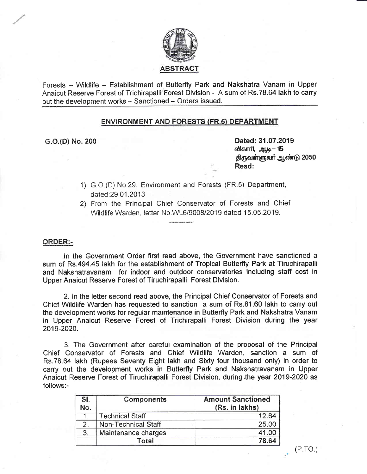

Forests - Wildlife - Establishment of Butterfly Park and Nakshatra Vanam in Upper Anaieut Reserve Fonest of Triehirapalli Forest Division - A sum of Rs.78.64 lakh to carry out the development works - Sanctioned - Orders issued.

# ENVIRONMENT AND FORESTS (FR.5) DEPARTMENT

c"O.{D) No" 200 Dated: 31.07.2019 விகாரி, ஆடி— 15 திருவள்ளுவர் ஆண்டு 2050 Read:

- 1) G.O.(D).No.29, Environment and Forests (FR.5) Department dated:29.01 .2013
- 2) From the Principal Chief Conservator of Forests and Chief Wildlife Warden, letter No.WL6/9008/2019 dated 15.05.2019.

# ORDER:=

In the Government Order first read above, the Government have sanctioned a sum of Rs.494.45 lakh for the establishment of Tropical Butterfly Park at Tiruchirapalli and Nakshatravanam for indoor and outdoor conservatories including staff cost in Upper Anaicut Reserve Forest of Tiruchirapalli Forest Division.

2. In the letter second read above, the Principal Chief Conservator of Forests and Chief Wildlife Warden has requested to sanction a sum of Rs.81.60 lakh to carry out the development works for regular maintenance in Butterfly Park and Nakshatra Vanam in Upper Anaicut Reserve Forest of Trichirapalli Forest Division during the year 2019-2020.

3. The Government after careful examination of the proposal of the Principal Chief Conservator of Forests and Chief Wildlife Warden, sanction a sum of Rs.78.64 lakh (Rupees Seventy Eight lakh and Sixty four thousand only) in order to carry out the developrnent works in Butterfly Park and Nakshatravanam in Upper Anaicut Reserve Forest of Tiruchirapalli Forest Division, during lhe year 2019-2020 as follows:-

| SI.<br>No. | <b>Components</b>      | <b>Amount Sanctioned</b><br>(Rs. in lakhs) |
|------------|------------------------|--------------------------------------------|
|            | <b>Technical Staff</b> | 12.64                                      |
| 2.         | Non-Technical Staff    | 25.00                                      |
| 3.         | Maintenance charges    | 41.00                                      |
|            | Total                  | 78.64                                      |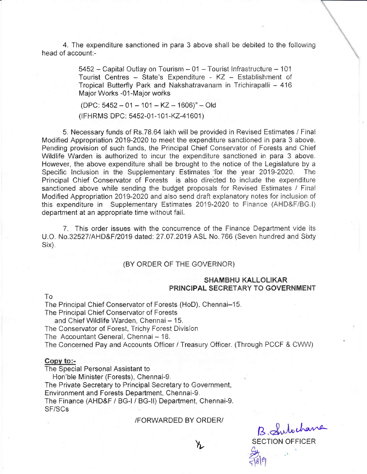4. The expenditure sanctioned in para 3 above shall be debited to the following head of account:-

> 5452 - Capital Outlay on Tourism - 01 - Tourist Infrastructure - 101 Tourist Centres - State's Expenditure - KZ - Establishment of Tropical Butterfly Park and Nakshatravanam in Trichirapalli - 416 Major Works -01-Major works

 $(DPC: 5452 - 01 - 101 - KZ - 1606)^n - Old$ 

(IFHRMS DPC: 5452-01-101-KZ-41601)

5. Necessary funds of Rs.78.64 lakh will be provided in Revised Estimates / Final Modified Appropriation 2019-2020 to meet the expenditure sanctioned in para 3 above. Pending provision of such funds, the Principal Chief Conservator of Forests and Chief Wildlife Warden is authorized to incur the expenditure sanctioned in para 3 above. However, the above expenditure shall be brought to the notice of the Legislature by a Specific Inclusion in the Supplementary Estimates for the year 2019-2020. The Principal Chief Conservator of Forests is also directed to include the expenditure sanctioned above while sending the budget proposals for Revised Estimates / Final Modified Appropriation 2019-2020 and also send draft explanatory notes for inclusion of this expenditure in Supplementary Estimates 2019-2020 to Finance (AHD&F/BG.I) department at an appropriate time without fail.

7. This order issues with the concurrence of the Finance Department vide its U.O. No.32527/AHD&F/2019 dated: 27.07.2019 ASL No. 766 (Seven hundred and Sixty Six).

# (BY ORDER OF THE GOVERNOR)

# **SHAMBHU KALLOLIKAR** PRINCIPAL SECRETARY TO GOVERNMENT

To

The Principal Chief Conservator of Forests (HoD), Chennai-15.

The Principal Chief Conservator of Forests

and Chief Wildlife Warden, Chennai - 15.

The Conservator of Forest, Trichy Forest Division

The Accountant General, Chennai - 18.

The Concerned Pay and Accounts Officer / Treasury Officer. (Through PCCF & CWW)

#### Copy to:-

The Special Personal Assistant to

Hon'ble Minister (Forests), Chennai-9. The Private Secretary to Principal Secretary to Government, Environment and Forests Department, Chennai-9. The Finance (AHD&F / BG-I / BG-II) Department, Chennai-9. SF/SCs

### /FORWARDED BY ORDER/

እ.

B. Subchang **SECTION OFFICER**